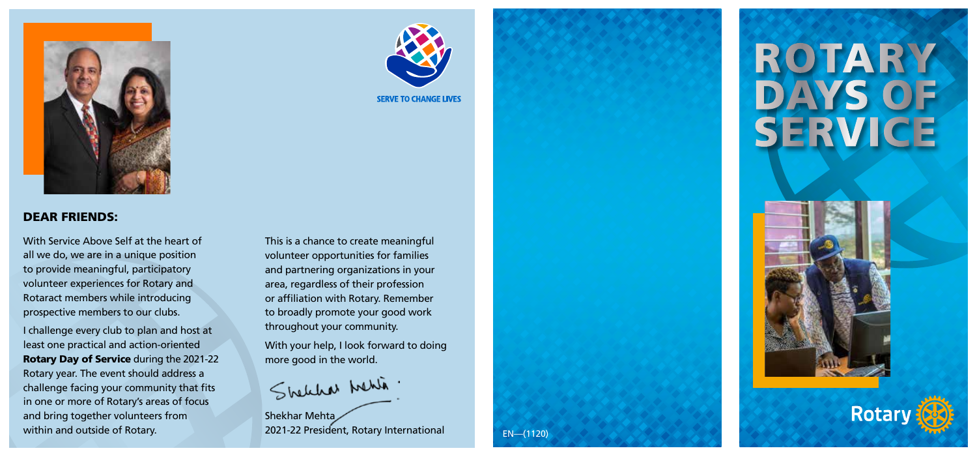

#### DEAR FRIENDS:

With Service Above Self at the heart of all we do, we are in a unique position to provide meaningful, participatory volunteer experiences for Rotary and Rotaract members while introducing prospective members to our clubs.

I challenge every club to plan and host at least one practical and action-oriented Rotary Day of Service during the 2021-22 Rotary year. The event should address a challenge facing your community that fits in one or more of Rotary's areas of focus and bring together volunteers from within and outside of Rotary.



**SERVE TO CHANGE LIVES** 

With your help, I look forward to doing more good in the world.

Shelchar Mehlin.

Shekhar Mehta 2021-22 President, Rotary International



EN—(1120)

# **ROTARY** DAYS OF SERVICE